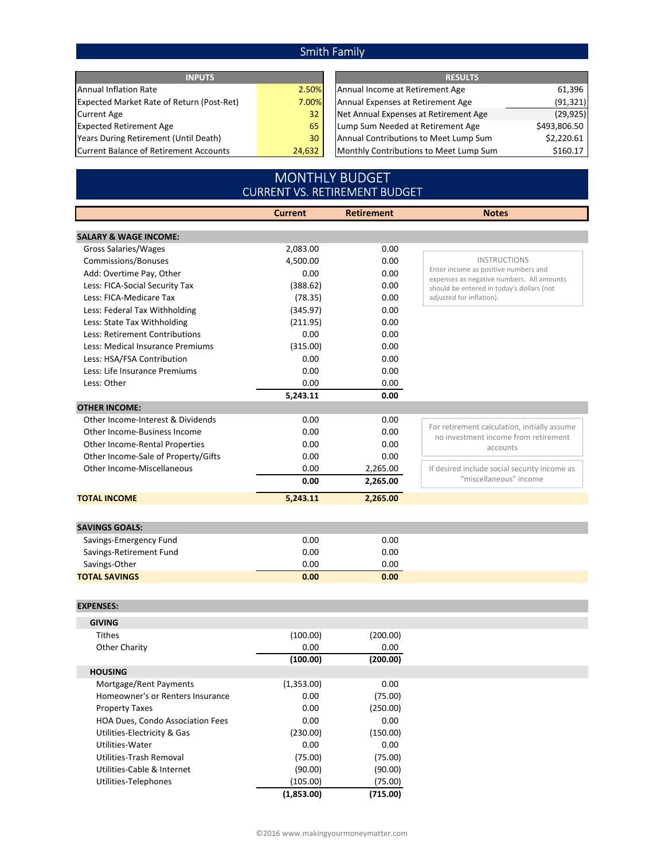## Smith Family

| <b>INPUTS</b>                                    |        | <b>RESULTS</b>                         |              |  |
|--------------------------------------------------|--------|----------------------------------------|--------------|--|
| Annual Inflation Rate                            | 2.50%  | Annual Income at Retirement Age        | 61,396       |  |
| <b>Expected Market Rate of Return (Post-Ret)</b> | 7.00%I | Annual Expenses at Retirement Age      | (91, 321)    |  |
| <b>Current Age</b>                               | 32     | Net Annual Expenses at Retirement Age  | (29, 925)    |  |
| <b>Expected Retirement Age</b>                   | 65     | Lump Sum Needed at Retirement Age      | \$493,806.50 |  |
| Years During Retirement (Until Death)            | 30     | Annual Contributions to Meet Lump Sum  | \$2,220.61   |  |
| Current Balance of Retirement Accounts           | 24,632 | Monthly Contributions to Meet Lump Sum | \$160.17     |  |

## MONTHLY BUDGET CURRENT VS. RETIREMENT BUDGET

|                                     | <b>Current</b> | <b>Retirement</b> | <b>Notes</b>                                                          |
|-------------------------------------|----------------|-------------------|-----------------------------------------------------------------------|
| <b>SALARY &amp; WAGE INCOME:</b>    |                |                   |                                                                       |
| <b>Gross Salaries/Wages</b>         | 2,083.00       | 0.00              |                                                                       |
| Commissions/Bonuses                 | 4,500.00       | 0.00              | <b>INSTRUCTIONS</b>                                                   |
| Add: Overtime Pay, Other            | 0.00           | 0.00              | Enter income as positive numbers and                                  |
| Less: FICA-Social Security Tax      | (388.62)       | 0.00              | expenses as negative numbers. All amounts                             |
| Less: FICA-Medicare Tax             | (78.35)        | 0.00              | should be entered in today's dollars (not<br>adjusted for inflation). |
| Less: Federal Tax Withholding       | (345.97)       | 0.00              |                                                                       |
| Less: State Tax Withholding         | (211.95)       | 0.00              |                                                                       |
| Less: Retirement Contributions      | 0.00           | 0.00              |                                                                       |
| Less: Medical Insurance Premiums    | (315.00)       | 0.00              |                                                                       |
| Less: HSA/FSA Contribution          | 0.00           | 0.00              |                                                                       |
| Less: Life Insurance Premiums       | 0.00           | 0.00              |                                                                       |
| Less: Other                         | 0.00           | 0.00              |                                                                       |
|                                     | 5,243.11       | 0.00              |                                                                       |
| <b>OTHER INCOME:</b>                |                |                   |                                                                       |
| Other Income-Interest & Dividends   | 0.00           | 0.00              |                                                                       |
| Other Income-Business Income        | 0.00           | 0.00              | For retirement calculation, initially assume                          |
| Other Income-Rental Properties      | 0.00           | 0.00              | no investment income from retirement                                  |
| Other Income-Sale of Property/Gifts | 0.00           | 0.00              | accounts                                                              |
| Other Income-Miscellaneous          | 0.00           | 2,265.00          | If desired include social security income as                          |
|                                     | 0.00           | 2,265.00          | "miscellaneous" income                                                |
| <b>TOTAL INCOME</b>                 | 5,243.11       | 2,265.00          |                                                                       |
|                                     |                |                   |                                                                       |
| <b>SAVINGS GOALS:</b>               |                |                   |                                                                       |
| Savings-Emergency Fund              | 0.00           | 0.00              |                                                                       |
| Savings-Retirement Fund             | 0.00           | 0.00              |                                                                       |
| Savings-Other                       | 0.00           | 0.00              |                                                                       |
| <b>TOTAL SAVINGS</b>                | 0.00           | 0.00              |                                                                       |
|                                     |                |                   |                                                                       |
| <b>EXPENSES:</b>                    |                |                   |                                                                       |
| <b>GIVING</b>                       |                |                   |                                                                       |
| <b>Tithes</b>                       | (100.00)       | (200.00)          |                                                                       |
| <b>Other Charity</b>                | 0.00           | 0.00              |                                                                       |
|                                     | (100.00)       | (200.00)          |                                                                       |
| <b>HOUSING</b>                      |                |                   |                                                                       |
| Mortgage/Rent Payments              | (1,353.00)     | 0.00              |                                                                       |
| Homeowner's or Renters Insurance    | 0.00           | (75.00)           |                                                                       |
| <b>Property Taxes</b>               | 0.00           | (250.00)          |                                                                       |
| HOA Dues, Condo Association Fees    | 0.00           | 0.00              |                                                                       |
| Utilities-Electricity & Gas         | (230.00)       | (150.00)          |                                                                       |
| Utilities-Water                     | 0.00           | 0.00              |                                                                       |
| Utilities-Trash Removal             | (75.00)        | (75.00)           |                                                                       |
| Utilities-Cable & Internet          | (90.00)        | (90.00)           |                                                                       |
| Utilities-Telephones                | (105.00)       | (75.00)           |                                                                       |
|                                     | (1,853.00)     | (715.00)          |                                                                       |